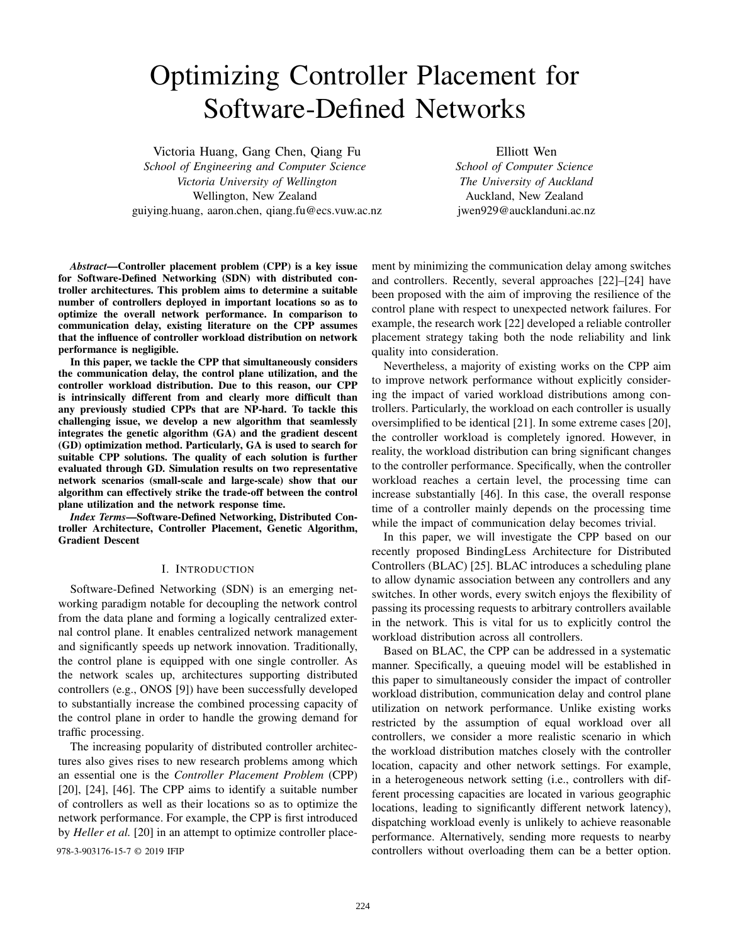# Optimizing Controller Placement for Software-Defined Networks

Victoria Huang, Gang Chen, Qiang Fu *School of Engineering and Computer Science Victoria University of Wellington* Wellington, New Zealand guiying.huang, aaron.chen, qiang.fu@ecs.vuw.ac.nz Elliott Wen

*School of Computer Science The University of Auckland* Auckland, New Zealand jwen929@aucklanduni.ac.nz

*Abstract*—Controller placement problem (CPP) is a key issue for Software-Defined Networking (SDN) with distributed controller architectures. This problem aims to determine a suitable number of controllers deployed in important locations so as to optimize the overall network performance. In comparison to communication delay, existing literature on the CPP assumes that the influence of controller workload distribution on network performance is negligible.

In this paper, we tackle the CPP that simultaneously considers the communication delay, the control plane utilization, and the controller workload distribution. Due to this reason, our CPP is intrinsically different from and clearly more difficult than any previously studied CPPs that are NP-hard. To tackle this challenging issue, we develop a new algorithm that seamlessly integrates the genetic algorithm (GA) and the gradient descent (GD) optimization method. Particularly, GA is used to search for suitable CPP solutions. The quality of each solution is further evaluated through GD. Simulation results on two representative network scenarios (small-scale and large-scale) show that our algorithm can effectively strike the trade-off between the control plane utilization and the network response time.

*Index Terms*—Software-Defined Networking, Distributed Controller Architecture, Controller Placement, Genetic Algorithm, Gradient Descent

# I. INTRODUCTION

Software-Defined Networking (SDN) is an emerging networking paradigm notable for decoupling the network control from the data plane and forming a logically centralized external control plane. It enables centralized network management and significantly speeds up network innovation. Traditionally, the control plane is equipped with one single controller. As the network scales up, architectures supporting distributed controllers (e.g., ONOS [9]) have been successfully developed to substantially increase the combined processing capacity of the control plane in order to handle the growing demand for traffic processing.

The increasing popularity of distributed controller architectures also gives rises to new research problems among which an essential one is the *Controller Placement Problem* (CPP) [20], [24], [46]. The CPP aims to identify a suitable number of controllers as well as their locations so as to optimize the network performance. For example, the CPP is first introduced by *Heller et al.* [20] in an attempt to optimize controller place-

ment by minimizing the communication delay among switches and controllers. Recently, several approaches [22]–[24] have been proposed with the aim of improving the resilience of the control plane with respect to unexpected network failures. For example, the research work [22] developed a reliable controller placement strategy taking both the node reliability and link quality into consideration.

Nevertheless, a majority of existing works on the CPP aim to improve network performance without explicitly considering the impact of varied workload distributions among controllers. Particularly, the workload on each controller is usually oversimplified to be identical [21]. In some extreme cases [20], the controller workload is completely ignored. However, in reality, the workload distribution can bring significant changes to the controller performance. Specifically, when the controller workload reaches a certain level, the processing time can increase substantially [46]. In this case, the overall response time of a controller mainly depends on the processing time while the impact of communication delay becomes trivial.

In this paper, we will investigate the CPP based on our recently proposed BindingLess Architecture for Distributed Controllers (BLAC) [25]. BLAC introduces a scheduling plane to allow dynamic association between any controllers and any switches. In other words, every switch enjoys the flexibility of passing its processing requests to arbitrary controllers available in the network. This is vital for us to explicitly control the workload distribution across all controllers.

Based on BLAC, the CPP can be addressed in a systematic manner. Specifically, a queuing model will be established in this paper to simultaneously consider the impact of controller workload distribution, communication delay and control plane utilization on network performance. Unlike existing works restricted by the assumption of equal workload over all controllers, we consider a more realistic scenario in which the workload distribution matches closely with the controller location, capacity and other network settings. For example, in a heterogeneous network setting (i.e., controllers with different processing capacities are located in various geographic locations, leading to significantly different network latency), dispatching workload evenly is unlikely to achieve reasonable performance. Alternatively, sending more requests to nearby 978-3-903176-15-7 © 2019 IFIP controllers without overloading them can be a better option.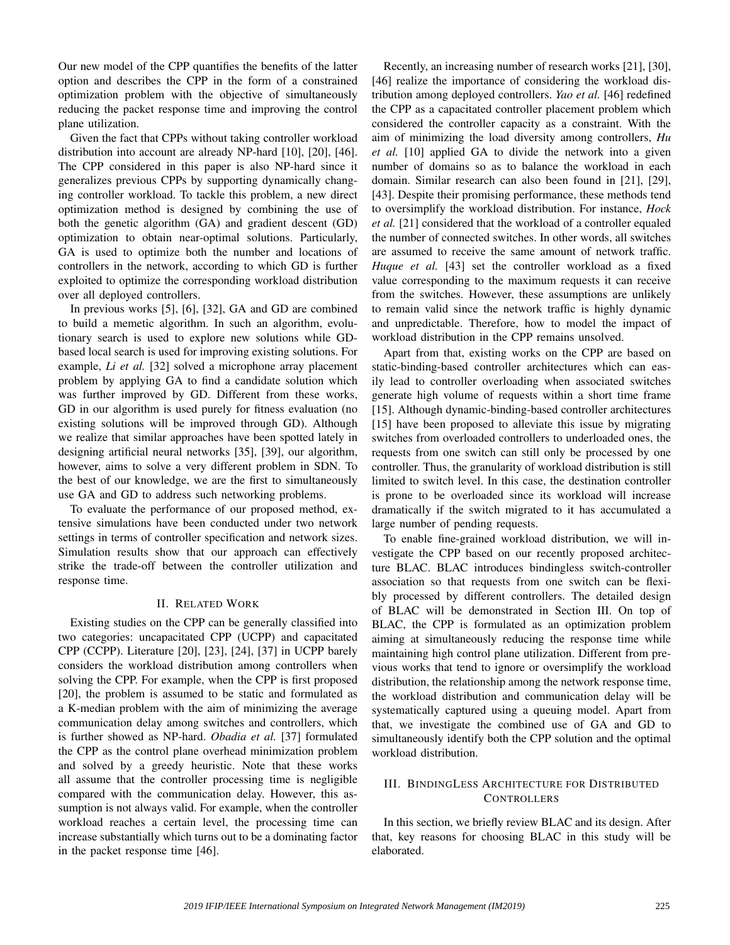Our new model of the CPP quantifies the benefits of the latter option and describes the CPP in the form of a constrained optimization problem with the objective of simultaneously reducing the packet response time and improving the control plane utilization.

Given the fact that CPPs without taking controller workload distribution into account are already NP-hard [10], [20], [46]. The CPP considered in this paper is also NP-hard since it generalizes previous CPPs by supporting dynamically changing controller workload. To tackle this problem, a new direct optimization method is designed by combining the use of both the genetic algorithm (GA) and gradient descent (GD) optimization to obtain near-optimal solutions. Particularly, GA is used to optimize both the number and locations of controllers in the network, according to which GD is further exploited to optimize the corresponding workload distribution over all deployed controllers.

In previous works [5], [6], [32], GA and GD are combined to build a memetic algorithm. In such an algorithm, evolutionary search is used to explore new solutions while GDbased local search is used for improving existing solutions. For example, *Li et al.* [32] solved a microphone array placement problem by applying GA to find a candidate solution which was further improved by GD. Different from these works, GD in our algorithm is used purely for fitness evaluation (no existing solutions will be improved through GD). Although we realize that similar approaches have been spotted lately in designing artificial neural networks [35], [39], our algorithm, however, aims to solve a very different problem in SDN. To the best of our knowledge, we are the first to simultaneously use GA and GD to address such networking problems.

To evaluate the performance of our proposed method, extensive simulations have been conducted under two network settings in terms of controller specification and network sizes. Simulation results show that our approach can effectively strike the trade-off between the controller utilization and response time.

## II. RELATED WORK

Existing studies on the CPP can be generally classified into two categories: uncapacitated CPP (UCPP) and capacitated CPP (CCPP). Literature [20], [23], [24], [37] in UCPP barely considers the workload distribution among controllers when solving the CPP. For example, when the CPP is first proposed [20], the problem is assumed to be static and formulated as a K-median problem with the aim of minimizing the average communication delay among switches and controllers, which is further showed as NP-hard. *Obadia et al.* [37] formulated the CPP as the control plane overhead minimization problem and solved by a greedy heuristic. Note that these works all assume that the controller processing time is negligible compared with the communication delay. However, this assumption is not always valid. For example, when the controller workload reaches a certain level, the processing time can increase substantially which turns out to be a dominating factor in the packet response time [46].

Recently, an increasing number of research works [21], [30], [46] realize the importance of considering the workload distribution among deployed controllers. *Yao et al.* [46] redefined the CPP as a capacitated controller placement problem which considered the controller capacity as a constraint. With the aim of minimizing the load diversity among controllers, *Hu et al.* [10] applied GA to divide the network into a given number of domains so as to balance the workload in each domain. Similar research can also been found in [21], [29], [43]. Despite their promising performance, these methods tend to oversimplify the workload distribution. For instance, *Hock et al.* [21] considered that the workload of a controller equaled the number of connected switches. In other words, all switches are assumed to receive the same amount of network traffic. *Huque et al.* [43] set the controller workload as a fixed value corresponding to the maximum requests it can receive from the switches. However, these assumptions are unlikely to remain valid since the network traffic is highly dynamic and unpredictable. Therefore, how to model the impact of workload distribution in the CPP remains unsolved.

Apart from that, existing works on the CPP are based on static-binding-based controller architectures which can easily lead to controller overloading when associated switches generate high volume of requests within a short time frame [15]. Although dynamic-binding-based controller architectures [15] have been proposed to alleviate this issue by migrating switches from overloaded controllers to underloaded ones, the requests from one switch can still only be processed by one controller. Thus, the granularity of workload distribution is still limited to switch level. In this case, the destination controller is prone to be overloaded since its workload will increase dramatically if the switch migrated to it has accumulated a large number of pending requests.

To enable fine-grained workload distribution, we will investigate the CPP based on our recently proposed architecture BLAC. BLAC introduces bindingless switch-controller association so that requests from one switch can be flexibly processed by different controllers. The detailed design of BLAC will be demonstrated in Section III. On top of BLAC, the CPP is formulated as an optimization problem aiming at simultaneously reducing the response time while maintaining high control plane utilization. Different from previous works that tend to ignore or oversimplify the workload distribution, the relationship among the network response time, the workload distribution and communication delay will be systematically captured using a queuing model. Apart from that, we investigate the combined use of GA and GD to simultaneously identify both the CPP solution and the optimal workload distribution.

#### III. BINDINGLESS ARCHITECTURE FOR DISTRIBUTED **CONTROLLERS**

In this section, we briefly review BLAC and its design. After that, key reasons for choosing BLAC in this study will be elaborated.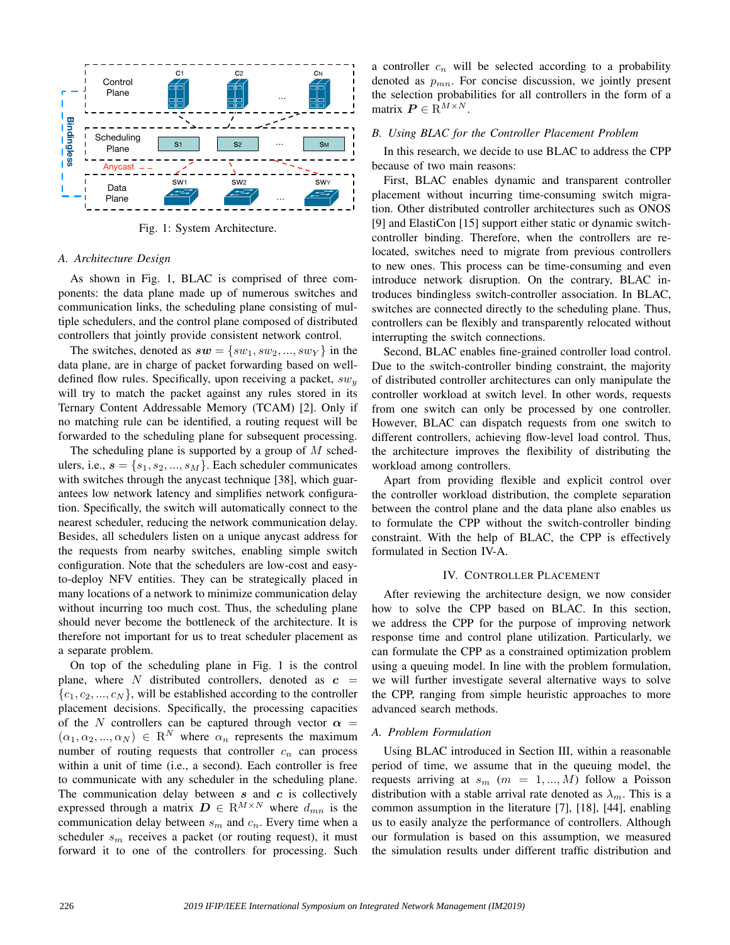

Fig. 1: System Architecture.

#### *A. Architecture Design*

As shown in Fig. 1, BLAC is comprised of three components: the data plane made up of numerous switches and communication links, the scheduling plane consisting of multiple schedulers, and the control plane composed of distributed controllers that jointly provide consistent network control.

The switches, denoted as  $sw = \{sw_1, sw_2, ..., sw_Y\}$  in the data plane, are in charge of packet forwarding based on welldefined flow rules. Specifically, upon receiving a packet,  $sw_y$ will try to match the packet against any rules stored in its Ternary Content Addressable Memory (TCAM) [2]. Only if no matching rule can be identified, a routing request will be forwarded to the scheduling plane for subsequent processing.

The scheduling plane is supported by a group of  $M$  schedulers, i.e.,  $s = \{s_1, s_2, ..., s_M\}$ . Each scheduler communicates with switches through the anycast technique [38], which guarantees low network latency and simplifies network configuration. Specifically, the switch will automatically connect to the nearest scheduler, reducing the network communication delay. Besides, all schedulers listen on a unique anycast address for the requests from nearby switches, enabling simple switch configuration. Note that the schedulers are low-cost and easyto-deploy NFV entities. They can be strategically placed in many locations of a network to minimize communication delay without incurring too much cost. Thus, the scheduling plane should never become the bottleneck of the architecture. It is therefore not important for us to treat scheduler placement as a separate problem.

On top of the scheduling plane in Fig. 1 is the control plane, where N distributed controllers, denoted as  $c =$  ${c_1, c_2, ..., c_N}$ , will be established according to the controller placement decisions. Specifically, the processing capacities of the N controllers can be captured through vector  $\alpha$  =  $(\alpha_1, \alpha_2, ..., \alpha_N) \in \mathbb{R}^N$  where  $\alpha_n$  represents the maximum number of routing requests that controller  $c_n$  can process within a unit of time (i.e., a second). Each controller is free to communicate with any scheduler in the scheduling plane. The communication delay between  $s$  and  $c$  is collectively expressed through a matrix  $\mathbf{D} \in \mathbb{R}^{M \times N}$  where  $d_{mn}$  is the communication delay between  $s_m$  and  $c_n$ . Every time when a scheduler  $s_m$  receives a packet (or routing request), it must forward it to one of the controllers for processing. Such a controller  $c_n$  will be selected according to a probability denoted as  $p_{mn}$ . For concise discussion, we jointly present the selection probabilities for all controllers in the form of a matrix  $P \in \mathbb{R}^{M \times N}$ .

## *B. Using BLAC for the Controller Placement Problem*

In this research, we decide to use BLAC to address the CPP because of two main reasons:

First, BLAC enables dynamic and transparent controller placement without incurring time-consuming switch migration. Other distributed controller architectures such as ONOS [9] and ElastiCon [15] support either static or dynamic switchcontroller binding. Therefore, when the controllers are relocated, switches need to migrate from previous controllers to new ones. This process can be time-consuming and even introduce network disruption. On the contrary, BLAC introduces bindingless switch-controller association. In BLAC, switches are connected directly to the scheduling plane. Thus, controllers can be flexibly and transparently relocated without interrupting the switch connections.

Second, BLAC enables fine-grained controller load control. Due to the switch-controller binding constraint, the majority of distributed controller architectures can only manipulate the controller workload at switch level. In other words, requests from one switch can only be processed by one controller. However, BLAC can dispatch requests from one switch to different controllers, achieving flow-level load control. Thus, the architecture improves the flexibility of distributing the workload among controllers.

Apart from providing flexible and explicit control over the controller workload distribution, the complete separation between the control plane and the data plane also enables us to formulate the CPP without the switch-controller binding constraint. With the help of BLAC, the CPP is effectively formulated in Section IV-A.

#### IV. CONTROLLER PLACEMENT

After reviewing the architecture design, we now consider how to solve the CPP based on BLAC. In this section, we address the CPP for the purpose of improving network response time and control plane utilization. Particularly, we can formulate the CPP as a constrained optimization problem using a queuing model. In line with the problem formulation, we will further investigate several alternative ways to solve the CPP, ranging from simple heuristic approaches to more advanced search methods.

#### *A. Problem Formulation*

Using BLAC introduced in Section III, within a reasonable period of time, we assume that in the queuing model, the requests arriving at  $s_m$  ( $m = 1, ..., M$ ) follow a Poisson distribution with a stable arrival rate denoted as  $\lambda_m$ . This is a common assumption in the literature [7], [18], [44], enabling us to easily analyze the performance of controllers. Although our formulation is based on this assumption, we measured the simulation results under different traffic distribution and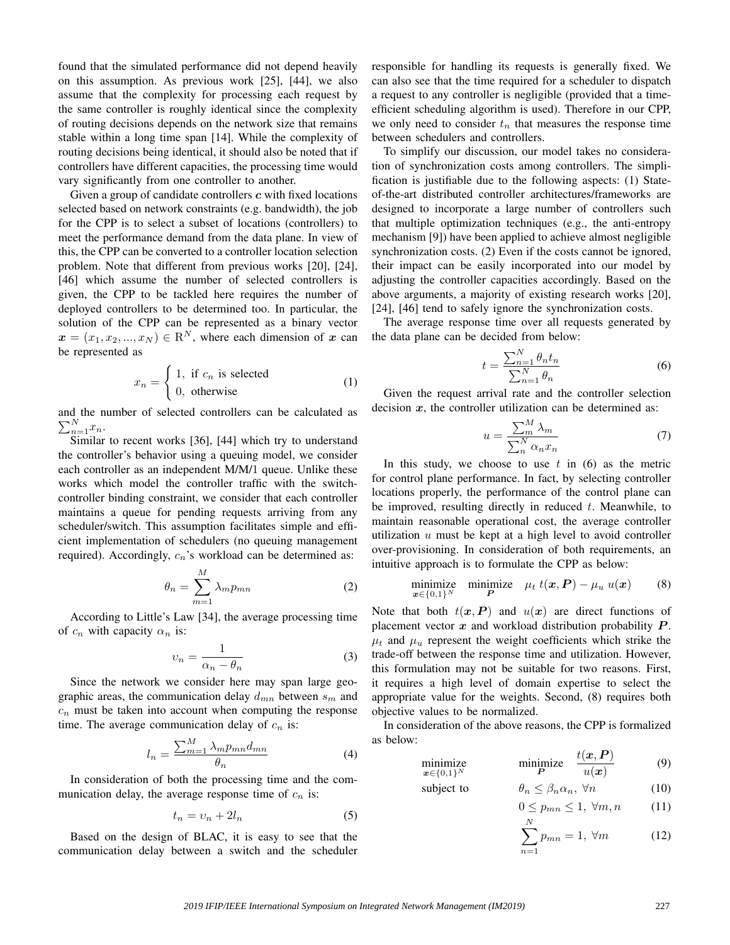found that the simulated performance did not depend heavily on this assumption. As previous work [25], [44], we also assume that the complexity for processing each request by the same controller is roughly identical since the complexity of routing decisions depends on the network size that remains stable within a long time span [14]. While the complexity of routing decisions being identical, it should also be noted that if controllers have different capacities, the processing time would vary significantly from one controller to another.

Given a group of candidate controllers  $c$  with fixed locations selected based on network constraints (e.g. bandwidth), the job for the CPP is to select a subset of locations (controllers) to meet the performance demand from the data plane. In view of this, the CPP can be converted to a controller location selection problem. Note that different from previous works [20], [24], [46] which assume the number of selected controllers is given, the CPP to be tackled here requires the number of deployed controllers to be determined too. In particular, the solution of the CPP can be represented as a binary vector  $x = (x_1, x_2, ..., x_N) \in \mathbb{R}^N$ , where each dimension of x can be represented as

$$
x_n = \begin{cases} 1, & \text{if } c_n \text{ is selected} \\ 0, & \text{otherwise} \end{cases}
$$
 (1)

and the number of selected controllers can be calculated as  $\sum_{n=1}^{N} x_n$ .

Similar to recent works [36], [44] which try to understand the controller's behavior using a queuing model, we consider each controller as an independent M/M/1 queue. Unlike these works which model the controller traffic with the switchcontroller binding constraint, we consider that each controller maintains a queue for pending requests arriving from any scheduler/switch. This assumption facilitates simple and efficient implementation of schedulers (no queuing management required). Accordingly,  $c_n$ 's workload can be determined as:

$$
\theta_n = \sum_{m=1}^{M} \lambda_m p_{mn} \tag{2}
$$

According to Little's Law [34], the average processing time of  $c_n$  with capacity  $\alpha_n$  is:

$$
v_n = \frac{1}{\alpha_n - \theta_n} \tag{3}
$$

Since the network we consider here may span large geographic areas, the communication delay  $d_{mn}$  between  $s_m$  and  $c_n$  must be taken into account when computing the response time. The average communication delay of  $c_n$  is:

$$
l_n = \frac{\sum_{m=1}^{M} \lambda_m p_{mn} d_{mn}}{\theta_n} \tag{4}
$$

In consideration of both the processing time and the communication delay, the average response time of  $c_n$  is:

$$
t_n = v_n + 2l_n \tag{5}
$$

Based on the design of BLAC, it is easy to see that the communication delay between a switch and the scheduler responsible for handling its requests is generally fixed. We can also see that the time required for a scheduler to dispatch a request to any controller is negligible (provided that a timeefficient scheduling algorithm is used). Therefore in our CPP, we only need to consider  $t_n$  that measures the response time between schedulers and controllers.

To simplify our discussion, our model takes no consideration of synchronization costs among controllers. The simplification is justifiable due to the following aspects: (1) Stateof-the-art distributed controller architectures/frameworks are designed to incorporate a large number of controllers such that multiple optimization techniques (e.g., the anti-entropy mechanism [9]) have been applied to achieve almost negligible synchronization costs. (2) Even if the costs cannot be ignored, their impact can be easily incorporated into our model by adjusting the controller capacities accordingly. Based on the above arguments, a majority of existing research works [20], [24], [46] tend to safely ignore the synchronization costs.

The average response time over all requests generated by the data plane can be decided from below:

$$
t = \frac{\sum_{n=1}^{N} \theta_n t_n}{\sum_{n=1}^{N} \theta_n} \tag{6}
$$

Given the request arrival rate and the controller selection decision  $x$ , the controller utilization can be determined as:

$$
u = \frac{\sum_{m}^{M} \lambda_{m}}{\sum_{n}^{N} \alpha_{n} x_{n}} \tag{7}
$$

In this study, we choose to use  $t$  in (6) as the metric for control plane performance. In fact, by selecting controller locations properly, the performance of the control plane can be improved, resulting directly in reduced  $t$ . Meanwhile, to maintain reasonable operational cost, the average controller utilization  $u$  must be kept at a high level to avoid controller over-provisioning. In consideration of both requirements, an intuitive approach is to formulate the CPP as below:

$$
\underset{\boldsymbol{x}\in\{0,1\}^N}{\text{minimize}} \quad \underset{\boldsymbol{P}}{\text{minimize}} \quad \mu_t \ t(\boldsymbol{x}, \boldsymbol{P}) - \mu_u \ u(\boldsymbol{x}) \tag{8}
$$

Note that both  $t(x, P)$  and  $u(x)$  are direct functions of placement vector  $x$  and workload distribution probability  $P$ .  $\mu_t$  and  $\mu_u$  represent the weight coefficients which strike the trade-off between the response time and utilization. However, this formulation may not be suitable for two reasons. First, it requires a high level of domain expertise to select the appropriate value for the weights. Second, (8) requires both objective values to be normalized.

In consideration of the above reasons, the CPP is formalized as below:

> mi  $\boldsymbol{x}$ ∈

subject to

$$
\underset{\{0,1\}^N}{\text{minimize}} \quad \underset{P}{\text{minimize}} \quad \frac{t(x,P)}{u(x)} \tag{9}
$$

$$
\theta_n \le \beta_n \alpha_n, \ \forall n \tag{10}
$$

$$
0 \le p_{mn} \le 1, \ \forall m, n \tag{11}
$$

$$
\sum_{n=1}^{N} p_{mn} = 1, \ \forall m \tag{12}
$$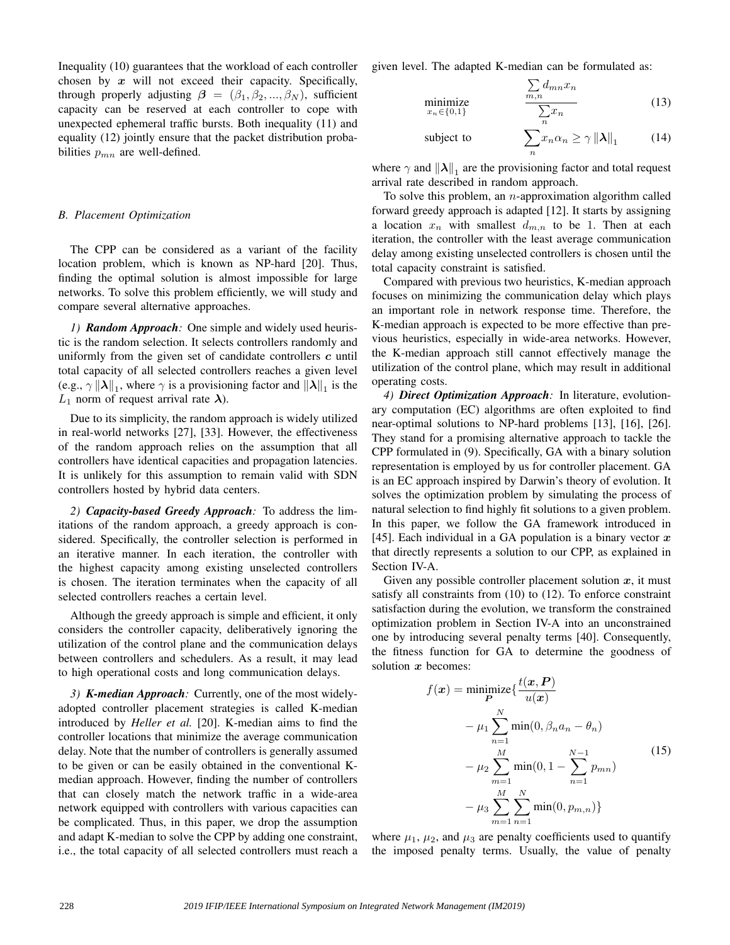Inequality (10) guarantees that the workload of each controller chosen by  $x$  will not exceed their capacity. Specifically, through properly adjusting  $\beta = (\beta_1, \beta_2, ..., \beta_N)$ , sufficient capacity can be reserved at each controller to cope with unexpected ephemeral traffic bursts. Both inequality (11) and equality (12) jointly ensure that the packet distribution probabilities  $p_{mn}$  are well-defined.

# *B. Placement Optimization*

The CPP can be considered as a variant of the facility location problem, which is known as NP-hard [20]. Thus, finding the optimal solution is almost impossible for large networks. To solve this problem efficiently, we will study and compare several alternative approaches.

*1) Random Approach:* One simple and widely used heuristic is the random selection. It selects controllers randomly and uniformly from the given set of candidate controllers  $c$  until total capacity of all selected controllers reaches a given level (e.g.,  $\gamma \| \lambda \|_1$ , where  $\gamma$  is a provisioning factor and  $\|\lambda \|_1$  is the  $L_1$  norm of request arrival rate  $\lambda$ ).

Due to its simplicity, the random approach is widely utilized in real-world networks [27], [33]. However, the effectiveness of the random approach relies on the assumption that all controllers have identical capacities and propagation latencies. It is unlikely for this assumption to remain valid with SDN controllers hosted by hybrid data centers.

*2) Capacity-based Greedy Approach:* To address the limitations of the random approach, a greedy approach is considered. Specifically, the controller selection is performed in an iterative manner. In each iteration, the controller with the highest capacity among existing unselected controllers is chosen. The iteration terminates when the capacity of all selected controllers reaches a certain level.

Although the greedy approach is simple and efficient, it only considers the controller capacity, deliberatively ignoring the utilization of the control plane and the communication delays between controllers and schedulers. As a result, it may lead to high operational costs and long communication delays.

*3) K-median Approach:* Currently, one of the most widelyadopted controller placement strategies is called K-median introduced by *Heller et al.* [20]. K-median aims to find the controller locations that minimize the average communication delay. Note that the number of controllers is generally assumed to be given or can be easily obtained in the conventional Kmedian approach. However, finding the number of controllers that can closely match the network traffic in a wide-area network equipped with controllers with various capacities can be complicated. Thus, in this paper, we drop the assumption and adapt K-median to solve the CPP by adding one constraint, i.e., the total capacity of all selected controllers must reach a given level. The adapted K-median can be formulated as:

$$
\underset{x_n \in \{0,1\}}{\text{minimize}} \qquad \qquad \frac{\sum_{m,n} a_{mn} x_n}{\sum_{n} x_n} \tag{13}
$$

 $\sim$ 

 $\nabla d$ 

subject to 
$$
\sum_{n} x_n \alpha_n \ge \gamma ||\boldsymbol{\lambda}||_1 \qquad (14)
$$

where  $\gamma$  and  $\|\lambda\|_1$  are the provisioning factor and total request arrival rate described in random approach.

To solve this problem, an  $n$ -approximation algorithm called forward greedy approach is adapted [12]. It starts by assigning a location  $x_n$  with smallest  $d_{m,n}$  to be 1. Then at each iteration, the controller with the least average communication delay among existing unselected controllers is chosen until the total capacity constraint is satisfied.

Compared with previous two heuristics, K-median approach focuses on minimizing the communication delay which plays an important role in network response time. Therefore, the K-median approach is expected to be more effective than previous heuristics, especially in wide-area networks. However, the K-median approach still cannot effectively manage the utilization of the control plane, which may result in additional operating costs.

*4) Direct Optimization Approach:* In literature, evolutionary computation (EC) algorithms are often exploited to find near-optimal solutions to NP-hard problems [13], [16], [26]. They stand for a promising alternative approach to tackle the CPP formulated in (9). Specifically, GA with a binary solution representation is employed by us for controller placement. GA is an EC approach inspired by Darwin's theory of evolution. It solves the optimization problem by simulating the process of natural selection to find highly fit solutions to a given problem. In this paper, we follow the GA framework introduced in [45]. Each individual in a GA population is a binary vector  $x$ that directly represents a solution to our CPP, as explained in Section IV-A.

Given any possible controller placement solution  $x$ , it must satisfy all constraints from (10) to (12). To enforce constraint satisfaction during the evolution, we transform the constrained optimization problem in Section IV-A into an unconstrained one by introducing several penalty terms [40]. Consequently, the fitness function for GA to determine the goodness of solution  $x$  becomes:

$$
f(\mathbf{x}) = \min_{\mathbf{P}} \text{imize} \{ \frac{t(\mathbf{x}, \mathbf{P})}{u(\mathbf{x})} - \mu_1 \sum_{n=1}^{N} \min(0, \beta_n a_n - \theta_n) - \mu_2 \sum_{m=1}^{M} \min(0, 1 - \sum_{n=1}^{N-1} p_{mn}) - \mu_3 \sum_{m=1}^{M} \sum_{n=1}^{N} \min(0, p_{m,n}) \}
$$
\n(15)

where  $\mu_1$ ,  $\mu_2$ , and  $\mu_3$  are penalty coefficients used to quantify the imposed penalty terms. Usually, the value of penalty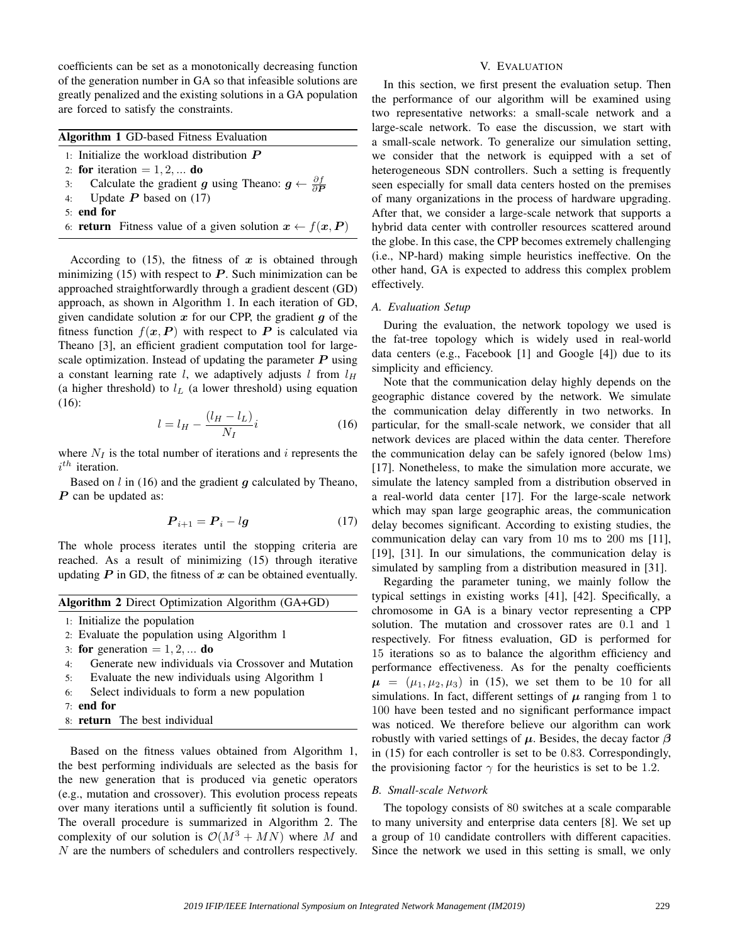coefficients can be set as a monotonically decreasing function of the generation number in GA so that infeasible solutions are greatly penalized and the existing solutions in a GA population are forced to satisfy the constraints.

| <b>Algorithm 1 GD-based Fitness Evaluation</b>                                                  |  |
|-------------------------------------------------------------------------------------------------|--|
| 1: Initialize the workload distribution $P$                                                     |  |
| 2: for iteration = $1, 2, \dots$ do                                                             |  |
| 3: Calculate the gradient g using Theano: $g \leftarrow \frac{\partial f}{\partial \mathbf{D}}$ |  |
| 4: Update $P$ based on (17)                                                                     |  |
| $5:$ end for                                                                                    |  |
|                                                                                                 |  |

6: **return** Fitness value of a given solution  $x \leftarrow f(x, P)$ 

According to  $(15)$ , the fitness of x is obtained through minimizing (15) with respect to  $P$ . Such minimization can be approached straightforwardly through a gradient descent (GD) approach, as shown in Algorithm 1. In each iteration of GD, given candidate solution  $x$  for our CPP, the gradient  $g$  of the fitness function  $f(x, P)$  with respect to P is calculated via Theano [3], an efficient gradient computation tool for largescale optimization. Instead of updating the parameter  $P$  using a constant learning rate l, we adaptively adjusts l from  $l_H$ (a higher threshold) to  $l_L$  (a lower threshold) using equation (16):

$$
l = l_H - \frac{(l_H - l_L)}{N_I}i\tag{16}
$$

where  $N_I$  is the total number of iterations and i represents the  $i^{th}$  iteration.

Based on  $l$  in (16) and the gradient  $q$  calculated by Theano,  $P$  can be updated as:

$$
P_{i+1} = P_i - lg \tag{17}
$$

The whole process iterates until the stopping criteria are reached. As a result of minimizing (15) through iterative updating  $P$  in GD, the fitness of  $x$  can be obtained eventually.

## Algorithm 2 Direct Optimization Algorithm (GA+GD)

- 1: Initialize the population
- 2: Evaluate the population using Algorithm 1
- 3: for generation  $= 1, 2, \dots$  do
- 4: Generate new individuals via Crossover and Mutation
- 5: Evaluate the new individuals using Algorithm 1
- 6: Select individuals to form a new population
- 7: end for
- 8: return The best individual

Based on the fitness values obtained from Algorithm 1, the best performing individuals are selected as the basis for the new generation that is produced via genetic operators (e.g., mutation and crossover). This evolution process repeats over many iterations until a sufficiently fit solution is found. The overall procedure is summarized in Algorithm 2. The complexity of our solution is  $\mathcal{O}(M^3 + MN)$  where M and N are the numbers of schedulers and controllers respectively.

# V. EVALUATION

In this section, we first present the evaluation setup. Then the performance of our algorithm will be examined using two representative networks: a small-scale network and a large-scale network. To ease the discussion, we start with a small-scale network. To generalize our simulation setting, we consider that the network is equipped with a set of heterogeneous SDN controllers. Such a setting is frequently seen especially for small data centers hosted on the premises of many organizations in the process of hardware upgrading. After that, we consider a large-scale network that supports a hybrid data center with controller resources scattered around the globe. In this case, the CPP becomes extremely challenging (i.e., NP-hard) making simple heuristics ineffective. On the other hand, GA is expected to address this complex problem effectively.

## *A. Evaluation Setup*

During the evaluation, the network topology we used is the fat-tree topology which is widely used in real-world data centers (e.g., Facebook [1] and Google [4]) due to its simplicity and efficiency.

Note that the communication delay highly depends on the geographic distance covered by the network. We simulate the communication delay differently in two networks. In particular, for the small-scale network, we consider that all network devices are placed within the data center. Therefore the communication delay can be safely ignored (below 1ms) [17]. Nonetheless, to make the simulation more accurate, we simulate the latency sampled from a distribution observed in a real-world data center [17]. For the large-scale network which may span large geographic areas, the communication delay becomes significant. According to existing studies, the communication delay can vary from 10 ms to 200 ms [11], [19], [31]. In our simulations, the communication delay is simulated by sampling from a distribution measured in [31].

Regarding the parameter tuning, we mainly follow the typical settings in existing works [41], [42]. Specifically, a chromosome in GA is a binary vector representing a CPP solution. The mutation and crossover rates are 0.1 and 1 respectively. For fitness evaluation, GD is performed for 15 iterations so as to balance the algorithm efficiency and performance effectiveness. As for the penalty coefficients  $\mu = (\mu_1, \mu_2, \mu_3)$  in (15), we set them to be 10 for all simulations. In fact, different settings of  $\mu$  ranging from 1 to 100 have been tested and no significant performance impact was noticed. We therefore believe our algorithm can work robustly with varied settings of  $\mu$ . Besides, the decay factor  $\beta$ in (15) for each controller is set to be 0.83. Correspondingly, the provisioning factor  $\gamma$  for the heuristics is set to be 1.2.

#### *B. Small-scale Network*

The topology consists of 80 switches at a scale comparable to many university and enterprise data centers [8]. We set up a group of 10 candidate controllers with different capacities. Since the network we used in this setting is small, we only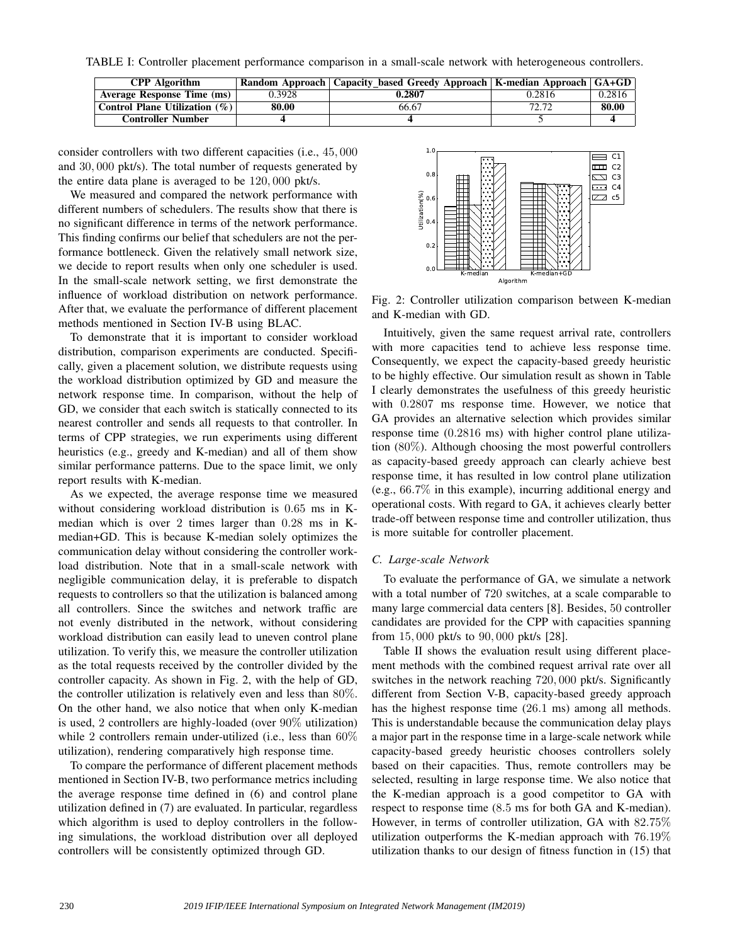TABLE I: Controller placement performance comparison in a small-scale network with heterogeneous controllers.

| <b>CPP</b> Algorithm             |        | <b>Random Approach   Capacity based Greedy Approach   K-median Approach   GA+GD</b> |        |        |
|----------------------------------|--------|-------------------------------------------------------------------------------------|--------|--------|
| Average Response Time (ms)       | 0.3928 | 0.2807                                                                              | 0.2816 | 0.2816 |
| Control Plane Utilization $(\%)$ | 80.00  | 66.67                                                                               | 72.72  | 80.00  |
| <b>Controller Number</b>         |        |                                                                                     |        |        |

consider controllers with two different capacities (i.e., 45, 000 and 30, 000 pkt/s). The total number of requests generated by the entire data plane is averaged to be 120, 000 pkt/s.

We measured and compared the network performance with different numbers of schedulers. The results show that there is no significant difference in terms of the network performance. This finding confirms our belief that schedulers are not the performance bottleneck. Given the relatively small network size, we decide to report results when only one scheduler is used. In the small-scale network setting, we first demonstrate the influence of workload distribution on network performance. After that, we evaluate the performance of different placement methods mentioned in Section IV-B using BLAC.

To demonstrate that it is important to consider workload distribution, comparison experiments are conducted. Specifically, given a placement solution, we distribute requests using the workload distribution optimized by GD and measure the network response time. In comparison, without the help of GD, we consider that each switch is statically connected to its nearest controller and sends all requests to that controller. In terms of CPP strategies, we run experiments using different heuristics (e.g., greedy and K-median) and all of them show similar performance patterns. Due to the space limit, we only report results with K-median.

As we expected, the average response time we measured without considering workload distribution is 0.65 ms in Kmedian which is over 2 times larger than 0.28 ms in Kmedian+GD. This is because K-median solely optimizes the communication delay without considering the controller workload distribution. Note that in a small-scale network with negligible communication delay, it is preferable to dispatch requests to controllers so that the utilization is balanced among all controllers. Since the switches and network traffic are not evenly distributed in the network, without considering workload distribution can easily lead to uneven control plane utilization. To verify this, we measure the controller utilization as the total requests received by the controller divided by the controller capacity. As shown in Fig. 2, with the help of GD, the controller utilization is relatively even and less than 80%. On the other hand, we also notice that when only K-median is used, 2 controllers are highly-loaded (over 90% utilization) while 2 controllers remain under-utilized (i.e., less than 60%) utilization), rendering comparatively high response time.

To compare the performance of different placement methods mentioned in Section IV-B, two performance metrics including the average response time defined in (6) and control plane utilization defined in (7) are evaluated. In particular, regardless which algorithm is used to deploy controllers in the following simulations, the workload distribution over all deployed controllers will be consistently optimized through GD.



Fig. 2: Controller utilization comparison between K-median and K-median with GD.

Intuitively, given the same request arrival rate, controllers with more capacities tend to achieve less response time. Consequently, we expect the capacity-based greedy heuristic to be highly effective. Our simulation result as shown in Table I clearly demonstrates the usefulness of this greedy heuristic with 0.2807 ms response time. However, we notice that GA provides an alternative selection which provides similar response time (0.2816 ms) with higher control plane utilization (80%). Although choosing the most powerful controllers as capacity-based greedy approach can clearly achieve best response time, it has resulted in low control plane utilization (e.g., 66.7% in this example), incurring additional energy and operational costs. With regard to GA, it achieves clearly better trade-off between response time and controller utilization, thus is more suitable for controller placement.

# *C. Large-scale Network*

To evaluate the performance of GA, we simulate a network with a total number of 720 switches, at a scale comparable to many large commercial data centers [8]. Besides, 50 controller candidates are provided for the CPP with capacities spanning from 15, 000 pkt/s to 90, 000 pkt/s [28].

Table II shows the evaluation result using different placement methods with the combined request arrival rate over all switches in the network reaching 720, 000 pkt/s. Significantly different from Section V-B, capacity-based greedy approach has the highest response time (26.1 ms) among all methods. This is understandable because the communication delay plays a major part in the response time in a large-scale network while capacity-based greedy heuristic chooses controllers solely based on their capacities. Thus, remote controllers may be selected, resulting in large response time. We also notice that the K-median approach is a good competitor to GA with respect to response time (8.5 ms for both GA and K-median). However, in terms of controller utilization, GA with 82.75% utilization outperforms the K-median approach with 76.19% utilization thanks to our design of fitness function in (15) that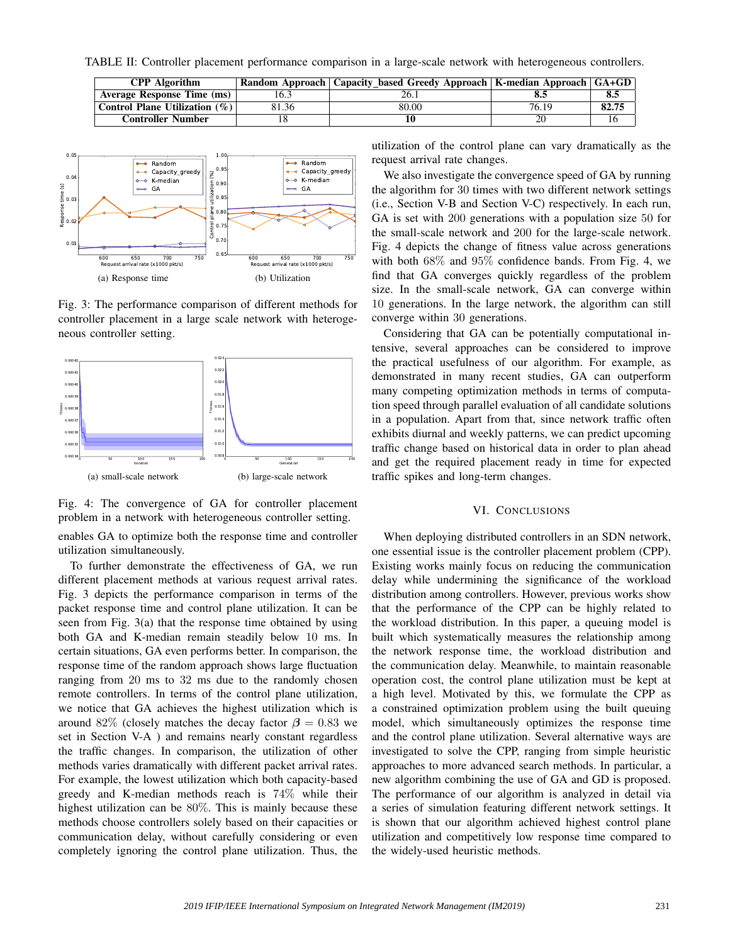TABLE II: Controller placement performance comparison in a large-scale network with heterogeneous controllers.

| <b>CPP</b> Algorithm          |       | Random Approach   Capacity based Greedy Approach   K-median Approach   GA+GD |       |       |
|-------------------------------|-------|------------------------------------------------------------------------------|-------|-------|
| Average Response Time (ms)    | 16.3  |                                                                              |       | 8.5   |
| Control Plane Utilization (%) | 81.36 | 80.00                                                                        | 76.19 | 82.75 |
| <b>Controller Number</b>      |       |                                                                              |       |       |



Fig. 3: The performance comparison of different methods for controller placement in a large scale network with heterogeneous controller setting.



Fig. 4: The convergence of GA for controller placement problem in a network with heterogeneous controller setting.

enables GA to optimize both the response time and controller utilization simultaneously.

To further demonstrate the effectiveness of GA, we run different placement methods at various request arrival rates. Fig. 3 depicts the performance comparison in terms of the packet response time and control plane utilization. It can be seen from Fig. 3(a) that the response time obtained by using both GA and K-median remain steadily below 10 ms. In certain situations, GA even performs better. In comparison, the response time of the random approach shows large fluctuation ranging from 20 ms to 32 ms due to the randomly chosen remote controllers. In terms of the control plane utilization, we notice that GA achieves the highest utilization which is around 82% (closely matches the decay factor  $\beta = 0.83$  we set in Section V-A ) and remains nearly constant regardless the traffic changes. In comparison, the utilization of other methods varies dramatically with different packet arrival rates. For example, the lowest utilization which both capacity-based greedy and K-median methods reach is 74% while their highest utilization can be 80%. This is mainly because these methods choose controllers solely based on their capacities or communication delay, without carefully considering or even completely ignoring the control plane utilization. Thus, the

utilization of the control plane can vary dramatically as the request arrival rate changes.

We also investigate the convergence speed of GA by running the algorithm for 30 times with two different network settings (i.e., Section V-B and Section V-C) respectively. In each run, GA is set with 200 generations with a population size 50 for the small-scale network and 200 for the large-scale network. Fig. 4 depicts the change of fitness value across generations with both 68% and 95% confidence bands. From Fig. 4, we find that GA converges quickly regardless of the problem size. In the small-scale network, GA can converge within 10 generations. In the large network, the algorithm can still converge within 30 generations.

Considering that GA can be potentially computational intensive, several approaches can be considered to improve the practical usefulness of our algorithm. For example, as demonstrated in many recent studies, GA can outperform many competing optimization methods in terms of computation speed through parallel evaluation of all candidate solutions in a population. Apart from that, since network traffic often exhibits diurnal and weekly patterns, we can predict upcoming traffic change based on historical data in order to plan ahead and get the required placement ready in time for expected traffic spikes and long-term changes.

#### VI. CONCLUSIONS

When deploying distributed controllers in an SDN network, one essential issue is the controller placement problem (CPP). Existing works mainly focus on reducing the communication delay while undermining the significance of the workload distribution among controllers. However, previous works show that the performance of the CPP can be highly related to the workload distribution. In this paper, a queuing model is built which systematically measures the relationship among the network response time, the workload distribution and the communication delay. Meanwhile, to maintain reasonable operation cost, the control plane utilization must be kept at a high level. Motivated by this, we formulate the CPP as a constrained optimization problem using the built queuing model, which simultaneously optimizes the response time and the control plane utilization. Several alternative ways are investigated to solve the CPP, ranging from simple heuristic approaches to more advanced search methods. In particular, a new algorithm combining the use of GA and GD is proposed. The performance of our algorithm is analyzed in detail via a series of simulation featuring different network settings. It is shown that our algorithm achieved highest control plane utilization and competitively low response time compared to the widely-used heuristic methods.